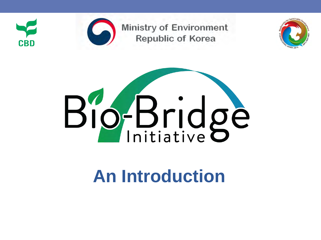



**Ministry of Environment Republic of Korea** 





# **An Introduction**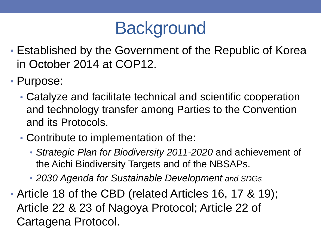# **Background**

- Established by the Government of the Republic of Korea in October 2014 at COP12.
- Purpose:
	- Catalyze and facilitate technical and scientific cooperation and technology transfer among Parties to the Convention and its Protocols.
	- Contribute to implementation of the:
		- *Strategic Plan for Biodiversity 2011-2020* and achievement of the Aichi Biodiversity Targets and of the NBSAPs.
		- *2030 Agenda for Sustainable Development and SDGs*

• Article 18 of the CBD (related Articles 16, 17 & 19); Article 22 & 23 of Nagoya Protocol; Article 22 of Cartagena Protocol.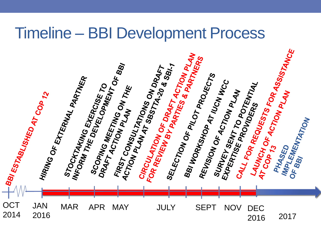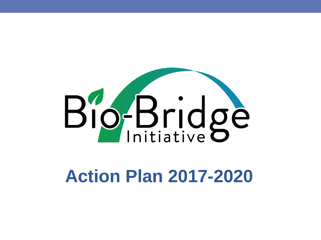

# **Action Plan 2017-2020**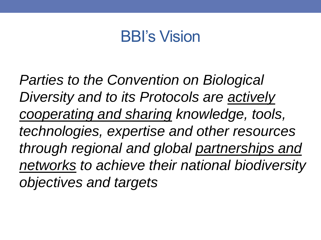### BBI's Vision

*Parties to the Convention on Biological Diversity and to its Protocols are actively cooperating and sharing knowledge, tools, technologies, expertise and other resources through regional and global partnerships and networks to achieve their national biodiversity objectives and targets*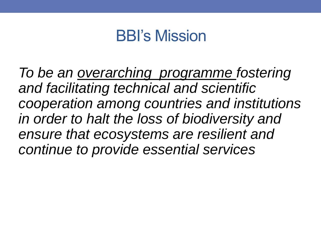### BBI's Mission

*To be an overarching programme fostering and facilitating technical and scientific cooperation among countries and institutions in order to halt the loss of biodiversity and ensure that ecosystems are resilient and continue to provide essential services*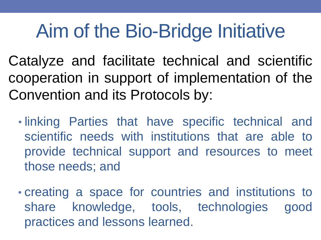# Aim of the Bio-Bridge Initiative

Catalyze and facilitate technical and scientific cooperation in support of implementation of the Convention and its Protocols by:

- linking Parties that have specific technical and scientific needs with institutions that are able to provide technical support and resources to meet those needs; and
- creating a space for countries and institutions to share knowledge, tools, technologies good practices and lessons learned.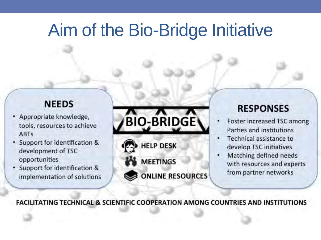# Aim of the Bio-Bridge Initiative

#### **NEEDS**

- Appropriate knowledge, tools, resources to achieve **ABTs**
- · Support for identification & development of TSC opportunities
- · Support for identification & implementation of solutions



**RESPONSES** 

- Foster increased TSC among Parties and institutions
- Technical assistance to develop TSC initiatives
- Matching defined needs with resources and experts from partner networks

**FACILITATING TECHNICAL & SCIENTIFIC COOPERATION AMONG COUNTRIES AND INSTITUTIONS** 

**ONLINE RESOURCES**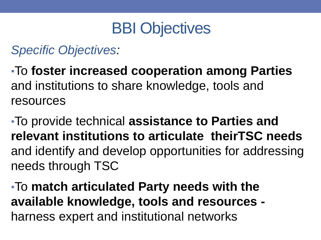## BBI Objectives

*Specific Objectives:* 

•To **foster increased cooperation among Parties**  and institutions to share knowledge, tools and resources

•To provide technical **assistance to Parties and relevant institutions to articulate theirTSC needs**  and identify and develop opportunities for addressing needs through TSC

•To **match articulated Party needs with the available knowledge, tools and resources**  harness expert and institutional networks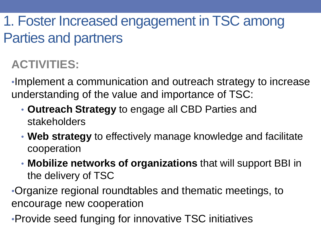### 1. Foster Increased engagement in TSC among Parties and partners

### **ACTIVITIES:**

•Implement a communication and outreach strategy to increase understanding of the value and importance of TSC:

- **Outreach Strategy** to engage all CBD Parties and stakeholders
- **Web strategy** to effectively manage knowledge and facilitate cooperation
- **Mobilize networks of organizations** that will support BBI in the delivery of TSC

•Organize regional roundtables and thematic meetings, to encourage new cooperation

•Provide seed funging for innovative TSC initiatives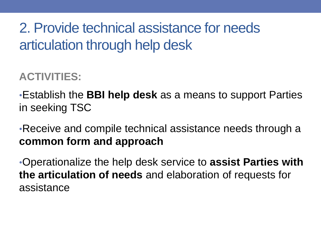### 2. Provide technical assistance for needs articulation through help desk

#### **ACTIVITIES:**

•Establish the **BBI help desk** as a means to support Parties in seeking TSC

•Receive and compile technical assistance needs through a **common form and approach**

•Operationalize the help desk service to **assist Parties with the articulation of needs** and elaboration of requests for assistance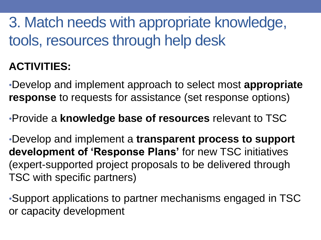3. Match needs with appropriate knowledge, tools, resources through help desk

### **ACTIVITIES:**

•Develop and implement approach to select most **appropriate response** to requests for assistance (set response options)

•Provide a **knowledge base of resources** relevant to TSC

•Develop and implement a **transparent process to support development of 'Response Plans'** for new TSC initiatives (expert-supported project proposals to be delivered through TSC with specific partners)

•Support applications to partner mechanisms engaged in TSC or capacity development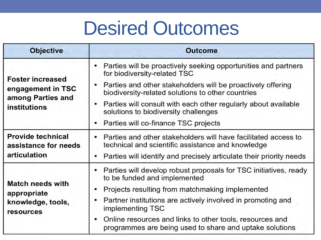# Desired Outcomes

| <b>Objective</b>                                                                  | <b>Outcome</b>                                                                                                                   |
|-----------------------------------------------------------------------------------|----------------------------------------------------------------------------------------------------------------------------------|
| <b>Foster increased</b><br>engagement in TSC<br>among Parties and<br>institutions | Parties will be proactively seeking opportunities and partners<br>for biodiversity-related TSC                                   |
|                                                                                   | Parties and other stakeholders will be proactively offering<br>biodiversity-related solutions to other countries                 |
|                                                                                   | Parties will consult with each other regularly about available<br>solutions to biodiversity challenges                           |
|                                                                                   | • Parties will co-finance TSC projects                                                                                           |
| <b>Provide technical</b><br>assistance for needs<br>articulation                  | Parties and other stakeholders will have facilitated access to<br>$\bullet$<br>technical and scientific assistance and knowledge |
|                                                                                   | Parties will identify and precisely articulate their priority needs                                                              |
| <b>Match needs with</b><br>appropriate<br>knowledge, tools,<br>resources          | Parties will develop robust proposals for TSC initiatives, ready<br>to be funded and implemented                                 |
|                                                                                   | Projects resulting from matchmaking implemented                                                                                  |
|                                                                                   | Partner institutions are actively involved in promoting and<br>implementing TSC                                                  |
|                                                                                   | Online resources and links to other tools, resources and<br>programmes are being used to share and uptake solutions              |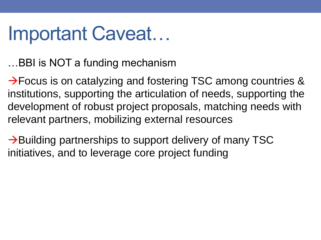# Important Caveat…

…BBI is NOT a funding mechanism

→ Focus is on catalyzing and fostering TSC among countries & institutions, supporting the articulation of needs, supporting the development of robust project proposals, matching needs with relevant partners, mobilizing external resources

 $\rightarrow$ Building partnerships to support delivery of many TSC initiatives, and to leverage core project funding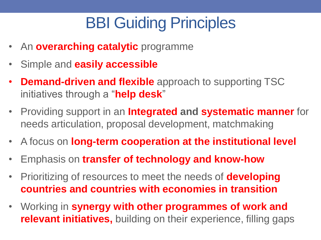# BBI Guiding Principles

- An **overarching catalytic** programme
- Simple and **easily accessible**
- **Demand-driven and flexible** approach to supporting TSC initiatives through a "**help desk**"
- Providing support in an **Integrated and systematic manner** for needs articulation, proposal development, matchmaking
- A focus on **long-term cooperation at the institutional level**
- Emphasis on **transfer of technology and know-how**
- Prioritizing of resources to meet the needs of **developing countries and countries with economies in transition**
- Working in **synergy with other programmes of work and relevant initiatives,** building on their experience, filling gaps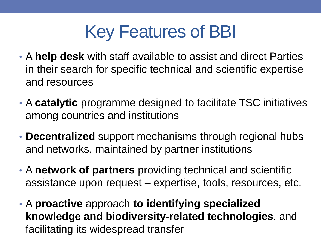# Key Features of BBI

- A **help desk** with staff available to assist and direct Parties in their search for specific technical and scientific expertise and resources
- A **catalytic** programme designed to facilitate TSC initiatives among countries and institutions
- **Decentralized** support mechanisms through regional hubs and networks, maintained by partner institutions
- A **network of partners** providing technical and scientific assistance upon request – expertise, tools, resources, etc.
- A **proactive** approach **to identifying specialized knowledge and biodiversity-related technologies**, and facilitating its widespread transfer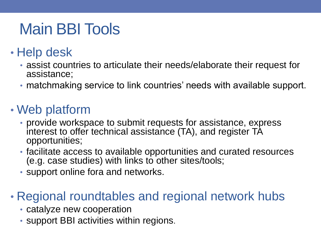# Main BBI Tools

### • Help desk

- assist countries to articulate their needs/elaborate their request for assistance;
- matchmaking service to link countries' needs with available support.

### • Web platform

- provide workspace to submit requests for assistance, express interest to offer technical assistance (TA), and register TA opportunities;
- facilitate access to available opportunities and curated resources (e.g. case studies) with links to other sites/tools;
- support online fora and networks.

#### • Regional roundtables and regional network hubs

- catalyze new cooperation
- support BBI activities within regions.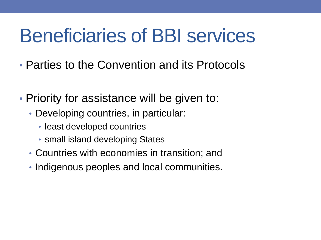# Beneficiaries of BBI services

- Parties to the Convention and its Protocols
- Priority for assistance will be given to:
	- Developing countries, in particular:
		- least developed countries
		- small island developing States
	- Countries with economies in transition; and
	- Indigenous peoples and local communities.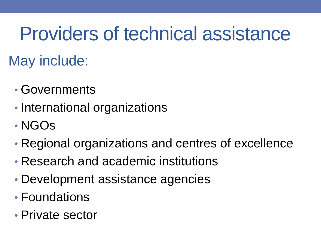# Providers of technical assistance

# May include:

- Governments
- International organizations
- NGOs
- Regional organizations and centres of excellence
- Research and academic institutions
- Development assistance agencies
- Foundations
- Private sector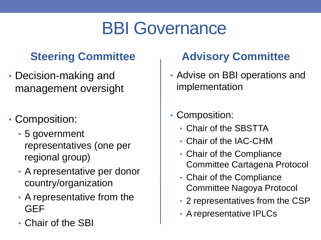# BBI Governance

#### **Steering Committee**

- Decision-making and management oversight
- Composition:
	- 5 government representatives (one per regional group)
	- A representative per donor country/organization
	- A representative from the GEF
	- Chair of the SBI

### **Advisory Committee**

• Advise on BBI operations and implementation

#### • Composition:

- Chair of the SBSTTA
- Chair of the IAC-CHM
- Chair of the Compliance Committee Cartagena Protocol
- Chair of the Compliance Committee Nagoya Protocol
- 2 representatives from the CSP
- A representative IPLCs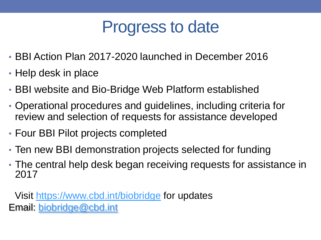# Progress to date

- BBI Action Plan 2017-2020 launched in December 2016
- Help desk in place
- BBI website and Bio-Bridge Web Platform established
- Operational procedures and guidelines, including criteria for review and selection of requests for assistance developed
- Four BBI Pilot projects completed
- Ten new BBI demonstration projects selected for funding
- The central help desk began receiving requests for assistance in 2017

Visit <https://www.cbd.int/biobridge> for updates Email: [biobridge@cbd.int](mailto:biobridge@cbd.int)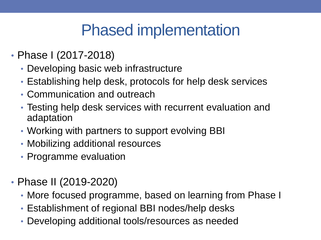# Phased implementation

- Phase I (2017-2018)
	- Developing basic web infrastructure
	- Establishing help desk, protocols for help desk services
	- Communication and outreach
	- Testing help desk services with recurrent evaluation and adaptation
	- Working with partners to support evolving BBI
	- Mobilizing additional resources
	- Programme evaluation
- Phase II (2019-2020)
	- More focused programme, based on learning from Phase I
	- Establishment of regional BBI nodes/help desks
	- Developing additional tools/resources as needed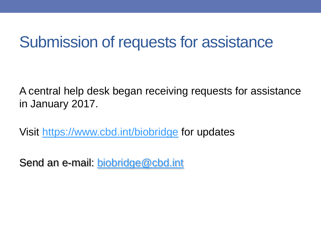### Submission of requests for assistance

A central help desk began receiving requests for assistance in January 2017.

Visit <https://www.cbd.int/biobridge> for updates

Send an e-mail: [biobridge@cbd.int](mailto:biobridge@cbd.int)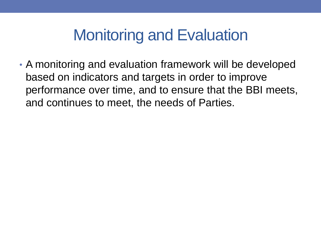### Monitoring and Evaluation

• A monitoring and evaluation framework will be developed based on indicators and targets in order to improve performance over time, and to ensure that the BBI meets, and continues to meet, the needs of Parties.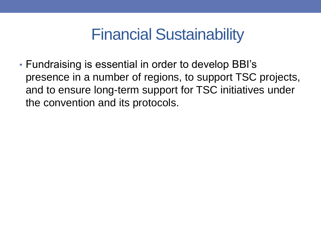## Financial Sustainability

• Fundraising is essential in order to develop BBI's presence in a number of regions, to support TSC projects, and to ensure long-term support for TSC initiatives under the convention and its protocols.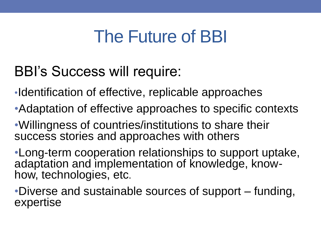# The Future of BBI

### BBI's Success will require:

•Identification of effective, replicable approaches

•Adaptation of effective approaches to specific contexts

•Willingness of countries/institutions to share their success stories and approaches with others

•Long-term cooperation relationships to support uptake, adaptation and implementation of knowledge, knowhow, technologies, etc.

•Diverse and sustainable sources of support – funding, expertise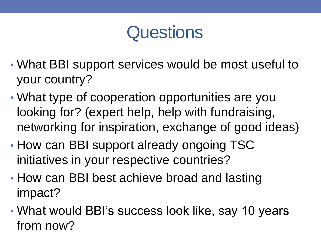# **Questions**

- What BBI support services would be most useful to your country?
- What type of cooperation opportunities are you looking for? (expert help, help with fundraising, networking for inspiration, exchange of good ideas)
- How can BBI support already ongoing TSC initiatives in your respective countries?
- How can BBI best achieve broad and lasting impact?
- What would BBI's success look like, say 10 years from now?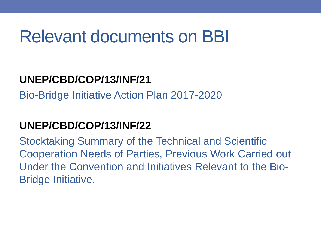# Relevant documents on BBI

#### **UNEP/CBD/COP/13/INF/21**

Bio-Bridge Initiative Action Plan 2017-2020

#### **UNEP/CBD/COP/13/INF/22**

Stocktaking Summary of the Technical and Scientific Cooperation Needs of Parties, Previous Work Carried out Under the Convention and Initiatives Relevant to the Bio-Bridge Initiative.